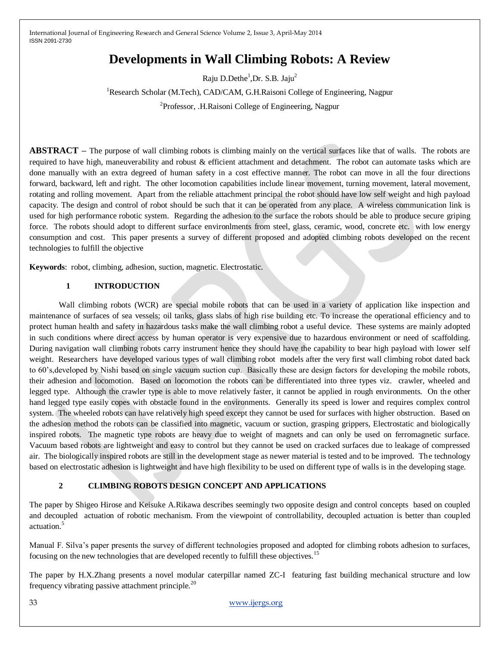# **Developments in Wall Climbing Robots: A Review**

Raju D.Dethe<sup>1</sup>, Dr. S.B. Jaju<sup>2</sup>

<sup>1</sup>Research Scholar (M.Tech), CAD/CAM, G.H.Raisoni College of Engineering, Nagpur <sup>2</sup>Professor, .H.Raisoni College of Engineering, Nagpur

**ABSTRACT –** The purpose of wall climbing robots is climbing mainly on the vertical surfaces like that of walls. The robots are required to have high, maneuverability and robust & efficient attachment and detachment. The robot can automate tasks which are done manually with an extra degreed of human safety in a cost effective manner. The robot can move in all the four directions forward, backward, left and right. The other locomotion capabilities include linear movement, turning movement, lateral movement, rotating and rolling movement. Apart from the reliable attachment principal the robot should have low self weight and high payload capacity. The design and control of robot should be such that it can be operated from any place. A wireless communication link is used for high performance robotic system. Regarding the adhesion to the surface the robots should be able to produce secure griping force. The robots should adopt to different surface environlments from steel, glass, ceramic, wood, concrete etc. with low energy consumption and cost. This paper presents a survey of different proposed and adopted climbing robots developed on the recent technologies to fulfill the objective

**Keywords**: robot, climbing, adhesion, suction, magnetic. Electrostatic.

# **1 INTRODUCTION**

Wall climbing robots (WCR) are special mobile robots that can be used in a variety of application like inspection and maintenance of surfaces of sea vessels; oil tanks, glass slabs of high rise building etc. To increase the operational efficiency and to protect human health and safety in hazardous tasks make the wall climbing robot a useful device. These systems are mainly adopted in such conditions where direct access by human operator is very expensive due to hazardous environment or need of scaffolding. During navigation wall climbing robots carry instrument hence they should have the capability to bear high payload with lower self weight. Researchers have developed various types of wall climbing robot models after the very first wall climbing robot dated back to 60's,developed by Nishi based on single vacuum suction cup. Basically these are design factors for developing the mobile robots, their adhesion and locomotion. Based on locomotion the robots can be differentiated into three types viz. crawler, wheeled and legged type. Although the crawler type is able to move relatively faster, it cannot be applied in rough environments. On the other hand legged type easily copes with obstacle found in the environments. Generally its speed is lower and requires complex control system. The wheeled robots can have relatively high speed except they cannot be used for surfaces with higher obstruction. Based on the adhesion method the robots can be classified into magnetic, vacuum or suction, grasping grippers, Electrostatic and biologically inspired robots. The magnetic type robots are heavy due to weight of magnets and can only be used on ferromagnetic surface. Vacuum based robots are lightweight and easy to control but they cannot be used on cracked surfaces due to leakage of compressed air. The biologically inspired robots are still in the development stage as newer material is tested and to be improved. The technology based on electrostatic adhesion is lightweight and have high flexibility to be used on different type of walls is in the developing stage.

# **2 CLIMBING ROBOTS DESIGN CONCEPT AND APPLICATIONS**

The paper by Shigeo Hirose and Keisuke A.Rikawa describes seemingly two opposite design and control concepts based on coupled and decoupled actuation of robotic mechanism. From the viewpoint of controllability, decoupled actuation is better than coupled actuation.<sup>5</sup>

Manual F. Silva's paper presents the survey of different technologies proposed and adopted for climbing robots adhesion to surfaces, focusing on the new technologies that are developed recently to fulfill these objectives.<sup>15</sup>

The paper by H.X.Zhang presents a novel modular caterpillar named ZC-I featuring fast building mechanical structure and low frequency vibrating passive attachment principle.<sup>20</sup>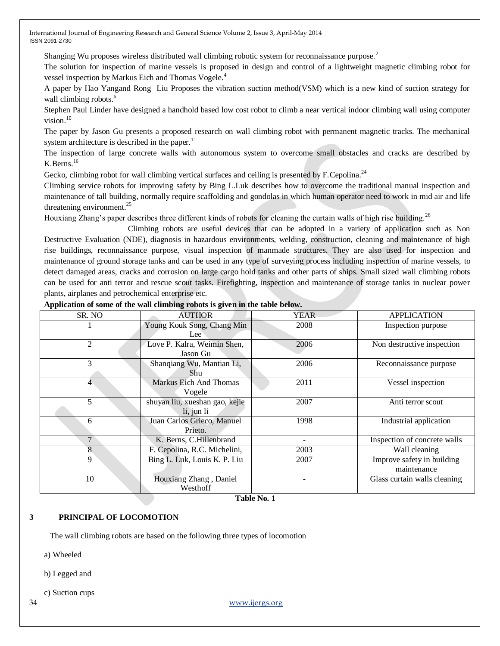Shanging Wu proposes wireless distributed wall climbing robotic system for reconnaissance purpose.<sup>2</sup>

The solution for inspection of marine vessels is proposed in design and control of a lightweight magnetic climbing robot for vessel inspection by Markus Eich and Thomas Vogele.<sup>4</sup>

A paper by Hao Yangand Rong Liu Proposes the vibration suction method(VSM) which is a new kind of suction strategy for wall climbing robots.<sup>6</sup>

Stephen Paul Linder have designed a handhold based low cost robot to climb a near vertical indoor climbing wall using computer vision.<sup>10</sup>

The paper by Jason Gu presents a proposed research on wall climbing robot with permanent magnetic tracks. The mechanical system architecture is described in the paper.<sup>11</sup>

The inspection of large concrete walls with autonomous system to overcome small obstacles and cracks are described by K.Berns.<sup>16</sup>

Gecko, climbing robot for wall climbing vertical surfaces and ceiling is presented by F. Cepolina.<sup>24</sup>

Climbing service robots for improving safety by Bing L.Luk describes how to overcome the traditional manual inspection and maintenance of tall building, normally require scaffolding and gondolas in which human operator need to work in mid air and life threatening environment. $^{25}$ 

Houxiang Zhang's paper describes three different kinds of robots for cleaning the curtain walls of high rise building.<sup>26</sup>

 Climbing robots are useful devices that can be adopted in a variety of application such as Non Destructive Evaluation (NDE), diagnosis in hazardous environments, welding, construction, cleaning and maintenance of high rise buildings, reconnaissance purpose, visual inspection of manmade structures. They are also used for inspection and maintenance of ground storage tanks and can be used in any type of surveying process including inspection of marine vessels, to detect damaged areas, cracks and corrosion on large cargo hold tanks and other parts of ships. Small sized wall climbing robots can be used for anti terror and rescue scout tasks. Firefighting, inspection and maintenance of storage tanks in nuclear power plants, airplanes and petrochemical enterprise etc.

| SR. NO          | <b>AUTHOR</b>                  | <b>APPLICATION</b><br><b>YEAR</b> |                              |
|-----------------|--------------------------------|-----------------------------------|------------------------------|
|                 | Young Kouk Song, Chang Min     | 2008<br>Inspection purpose        |                              |
|                 | Lee                            |                                   |                              |
| 2               | Love P. Kalra, Weimin Shen,    | 2006                              | Non destructive inspection   |
|                 | Jason Gu                       |                                   |                              |
| 3               | Shanqiang Wu, Mantian Li,      | 2006                              | Reconnaissance purpose       |
|                 | Shu                            |                                   |                              |
| 4               | Markus Eich And Thomas         | 2011                              | Vessel inspection            |
|                 | Vogele                         |                                   |                              |
| 5               | shuyan liu, xueshan gao, kejie | 2007                              | Anti terror scout            |
|                 | li, jun li                     |                                   |                              |
| 6               | Juan Carlos Grieco, Manuel     | 1998                              | Industrial application       |
|                 | Prieto.                        |                                   |                              |
| $7\phantom{.0}$ | K. Berns, C.Hillenbrand        |                                   | Inspection of concrete walls |
| 8               | F. Cepolina, R.C. Michelini,   | 2003                              | Wall cleaning                |
| 9               | Bing L. Luk, Louis K. P. Liu   | 2007                              | Improve safety in building   |
|                 |                                |                                   | maintenance                  |
| 10              | Houxiang Zhang, Daniel         |                                   | Glass curtain walls cleaning |
|                 | Westhoff                       |                                   |                              |

#### **Application of some of the wall climbing robots is given in the table below.**

**Table No. 1**

## **3 PRINCIPAL OF LOCOMOTION**

The wall climbing robots are based on the following three types of locomotion

a) Wheeled

b) Legged and

c) Suction cups

34 [www.ijergs.org](http://www.ijergs.org/)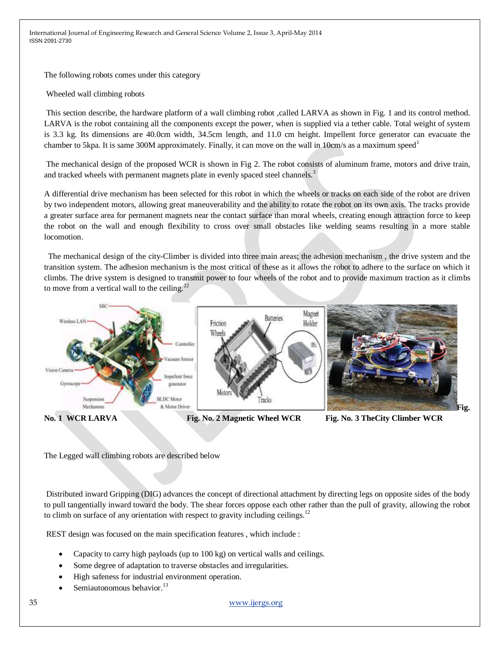The following robots comes under this category

Wheeled wall climbing robots

This section describe, the hardware platform of a wall climbing robot ,called LARVA as shown in Fig. 1 and its control method. LARVA is the robot containing all the components except the power, when is supplied via a tether cable. Total weight of system is 3.3 kg. Its dimensions are 40.0cm width, 34.5cm length, and 11.0 cm height. Impellent force generator can evacuate the chamber to 5kpa. It is same 300M approximately. Finally, it can move on the wall in 10cm/s as a maximum speed<sup>1</sup>

The mechanical design of the proposed WCR is shown in Fig 2. The robot consists of aluminum frame, motors and drive train, and tracked wheels with permanent magnets plate in evenly spaced steel channels.<sup>3</sup>

A differential drive mechanism has been selected for this robot in which the wheels or tracks on each side of the robot are driven by two independent motors, allowing great maneuverability and the ability to rotate the robot on its own axis. The tracks provide a greater surface area for permanent magnets near the contact surface than moral wheels, creating enough attraction force to keep the robot on the wall and enough flexibility to cross over small obstacles like welding seams resulting in a more stable locomotion.

 The mechanical design of the city-Climber is divided into three main areas; the adhesion mechanism , the drive system and the transition system. The adhesion mechanism is the most critical of these as it allows the robot to adhere to the surface on which it climbs. The drive system is designed to transmit power to four wheels of the robot and to provide maximum traction as it climbs to move from a vertical wall to the ceiling. $22$ 



**No. 1 WCR LARVA Fig. No. 2 Magnetic Wheel WCR Fig. No. 3 TheCity Climber WCR**

The Legged wall climbing robots are described below

Distributed inward Gripping (DIG) advances the concept of directional attachment by directing legs on opposite sides of the body to pull tangentially inward toward the body. The shear forces oppose each other rather than the pull of gravity, allowing the robot to climb on surface of any orientation with respect to gravity including ceilings. $12$ 

REST design was focused on the main specification features , which include :

- Capacity to carry high payloads (up to 100 kg) on vertical walls and ceilings.
- Some degree of adaptation to traverse obstacles and irregularities.
- High safeness for industrial environment operation.
- Semiautonomous behavior.<sup>13</sup>

35 [www.ijergs.org](http://www.ijergs.org/)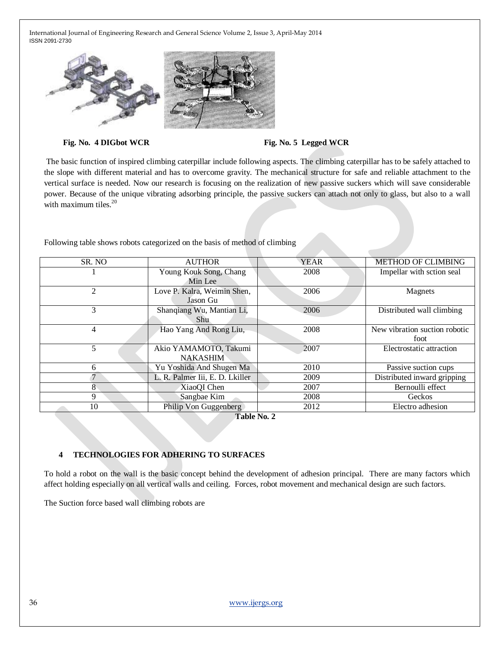





The basic function of inspired climbing caterpillar include following aspects. The climbing caterpillar has to be safely attached to the slope with different material and has to overcome gravity. The mechanical structure for safe and reliable attachment to the vertical surface is needed. Now our research is focusing on the realization of new passive suckers which will save considerable power. Because of the unique vibrating adsorbing principle, the passive suckers can attach not only to glass, but also to a wall with maximum tiles. $20$ 

Following table shows robots categorized on the basis of method of climbing

| SR. NO | <b>AUTHOR</b>                   | <b>YEAR</b> | METHOD OF CLIMBING            |
|--------|---------------------------------|-------------|-------------------------------|
|        | Young Kouk Song, Chang          | 2008        | Impellar with sction seal     |
|        | Min Lee                         |             |                               |
| 2      | Love P. Kalra, Weimin Shen,     | 2006        | Magnets                       |
|        | Jason Gu                        |             |                               |
| 3      | Shanqiang Wu, Mantian Li,       | 2006        | Distributed wall climbing     |
|        | Shu.                            |             |                               |
| 4      | Hao Yang And Rong Liu,          | 2008        | New vibration suction robotic |
|        |                                 |             | foot                          |
| 5      | Akio YAMAMOTO, Takumi           | 2007        | Electrostatic attraction      |
|        | <b>NAKASHIM</b>                 |             |                               |
| 6      | Yu Yoshida And Shugen Ma        | 2010        | Passive suction cups          |
|        | L. R. Palmer Iii, E. D. Lkiller | 2009        | Distributed inward gripping   |
| 8      | XiaoQI Chen                     | 2007        | Bernoulli effect              |
| 9      | Sangbae Kim                     | 2008        | Geckos                        |
| 10     | Philip Von Guggenberg           | 2012        | Electro adhesion              |

**Table No. 2**

# **4 TECHNOLOGIES FOR ADHERING TO SURFACES**

To hold a robot on the wall is the basic concept behind the development of adhesion principal. There are many factors which affect holding especially on all vertical walls and ceiling. Forces, robot movement and mechanical design are such factors.

The Suction force based wall climbing robots are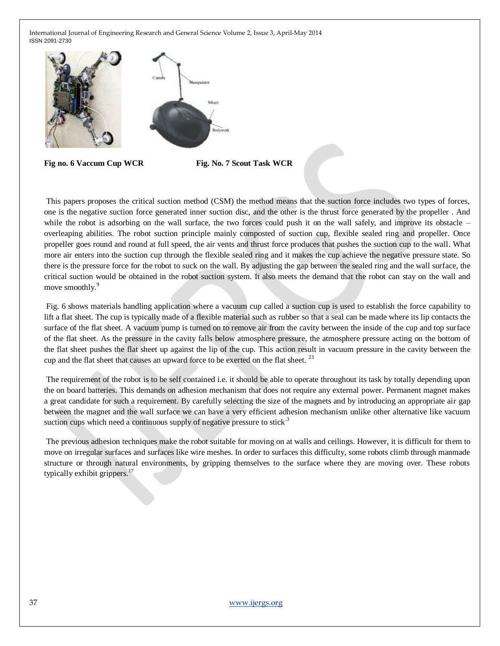



This papers proposes the critical suction method (CSM) the method means that the suction force includes two types of forces, one is the negative suction force generated inner suction disc, and the other is the thrust force generated by the propeller . And while the robot is adsorbing on the wall surface, the two forces could push it on the wall safely, and improve its obstacle  $$ overleaping abilities. The robot suction principle mainly composted of suction cup, flexible sealed ring and propeller. Once propeller goes round and round at full speed, the air vents and thrust force produces that pushes the suction cup to the wall. What more air enters into the suction cup through the flexible sealed ring and it makes the cup achieve the negative pressure state. So there is the pressure force for the robot to suck on the wall. By adjusting the gap between the sealed ring and the wall surface, the critical suction would be obtained in the robot suction system. It also meets the demand that the robot can stay on the wall and move smoothly.<sup>9</sup>

Fig. 6 shows materials handling application where a vacuum cup called a suction cup is used to establish the force capability to lift a flat sheet. The cup is typically made of a flexible material such as rubber so that a seal can be made where its lip contacts the surface of the flat sheet. A vacuum pump is turned on to remove air from the cavity between the inside of the cup and top surface of the flat sheet. As the pressure in the cavity falls below atmosphere pressure, the atmosphere pressure acting on the bottom of the flat sheet pushes the flat sheet up against the lip of the cup. This action result in vacuum pressure in the cavity between the cup and the flat sheet that causes an upward force to be exerted on the flat sheet.  $^{23}$ 

The requirement of the robot is to be self contained i.e. it should be able to operate throughout its task by totally depending upon the on board batteries. This demands on adhesion mechanism that does not require any external power. Permanent magnet makes a great candidate for such a requirement. By carefully selecting the size of the magnets and by introducing an appropriate air gap between the magnet and the wall surface we can have a very efficient adhesion mechanism unlike other alternative like vacuum suction cups which need a continuous supply of negative pressure to stick.<sup>3</sup>

The previous adhesion techniques make the robot suitable for moving on at walls and ceilings. However, it is difficult for them to move on irregular surfaces and surfaces like wire meshes. In order to surfaces this difficulty, some robots climb through manmade structure or through natural environments, by gripping themselves to the surface where they are moving over. These robots typically exhibit grippers. $17$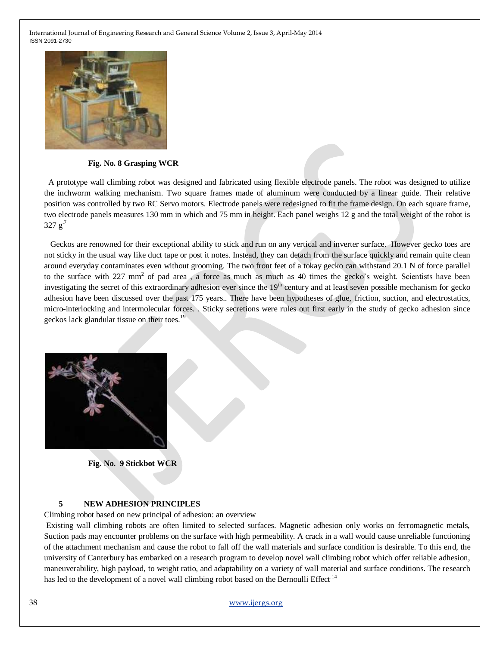

#### **Fig. No. 8 Grasping WCR**

 A prototype wall climbing robot was designed and fabricated using flexible electrode panels. The robot was designed to utilize the inchworm walking mechanism. Two square frames made of aluminum were conducted by a linear guide. Their relative position was controlled by two RC Servo motors. Electrode panels were redesigned to fit the frame design. On each square frame, two electrode panels measures 130 mm in which and 75 mm in height. Each panel weighs 12 g and the total weight of the robot is  $327 g<sup>7</sup>$ 

 Geckos are renowned for their exceptional ability to stick and run on any vertical and inverter surface. However gecko toes are not sticky in the usual way like duct tape or post it notes. Instead, they can detach from the surface quickly and remain quite clean around everyday contaminates even without grooming. The two front feet of a tokay gecko can withstand 20.1 N of force parallel to the surface with 227 mm<sup>2</sup> of pad area, a force as much as much as 40 times the gecko's weight. Scientists have been investigating the secret of this extraordinary adhesion ever since the 19<sup>th</sup> century and at least seven possible mechanism for gecko adhesion have been discussed over the past 175 years.. There have been hypotheses of glue, friction, suction, and electrostatics, micro-interlocking and intermolecular forces. . Sticky secretions were rules out first early in the study of gecko adhesion since geckos lack glandular tissue on their toes.<sup>19</sup>



**Fig. No. 9 Stickbot WCR**

#### **5 NEW ADHESION PRINCIPLES**

Climbing robot based on new principal of adhesion: an overview

Existing wall climbing robots are often limited to selected surfaces. Magnetic adhesion only works on ferromagnetic metals, Suction pads may encounter problems on the surface with high permeability. A crack in a wall would cause unreliable functioning of the attachment mechanism and cause the robot to fall off the wall materials and surface condition is desirable. To this end, the university of Canterbury has embarked on a research program to develop novel wall climbing robot which offer reliable adhesion, maneuverability, high payload, to weight ratio, and adaptability on a variety of wall material and surface conditions. The research has led to the development of a novel wall climbing robot based on the Bernoulli Effect<sup>14</sup>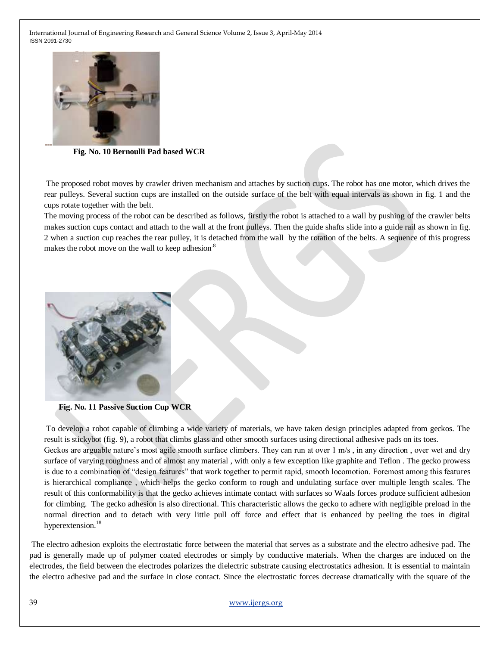

 **Fig. No. 10 Bernoulli Pad based WCR**

The proposed robot moves by crawler driven mechanism and attaches by suction cups. The robot has one motor, which drives the rear pulleys. Several suction cups are installed on the outside surface of the belt with equal intervals as shown in fig. 1 and the cups rotate together with the belt.

The moving process of the robot can be described as follows, firstly the robot is attached to a wall by pushing of the crawler belts makes suction cups contact and attach to the wall at the front pulleys. Then the guide shafts slide into a guide rail as shown in fig. 2 when a suction cup reaches the rear pulley, it is detached from the wall by the rotation of the belts. A sequence of this progress makes the robot move on the wall to keep adhesion.<sup>8</sup>



**Fig. No. 11 Passive Suction Cup WCR**

To develop a robot capable of climbing a wide variety of materials, we have taken design principles adapted from geckos. The result is stickybot (fig. 9), a robot that climbs glass and other smooth surfaces using directional adhesive pads on its toes. Geckos are arguable nature's most agile smooth surface climbers. They can run at over 1 m/s, in any direction, over wet and dry surface of varying roughness and of almost any material , with only a few exception like graphite and Teflon . The gecko prowess is due to a combination of "design features" that work together to permit rapid, smooth locomotion. Foremost among this features is hierarchical compliance , which helps the gecko conform to rough and undulating surface over multiple length scales. The result of this conformability is that the gecko achieves intimate contact with surfaces so Waals forces produce sufficient adhesion for climbing. The gecko adhesion is also directional. This characteristic allows the gecko to adhere with negligible preload in the normal direction and to detach with very little pull off force and effect that is enhanced by peeling the toes in digital hyperextension.<sup>18</sup>

The electro adhesion exploits the electrostatic force between the material that serves as a substrate and the electro adhesive pad. The pad is generally made up of polymer coated electrodes or simply by conductive materials. When the charges are induced on the electrodes, the field between the electrodes polarizes the dielectric substrate causing electrostatics adhesion. It is essential to maintain the electro adhesive pad and the surface in close contact. Since the electrostatic forces decrease dramatically with the square of the

## 39 [www.ijergs.org](http://www.ijergs.org/)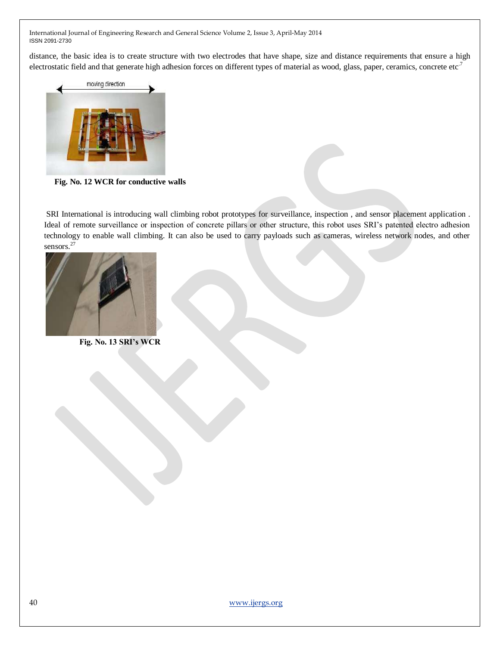distance, the basic idea is to create structure with two electrodes that have shape, size and distance requirements that ensure a high electrostatic field and that generate high adhesion forces on different types of material as wood, glass, paper, ceramics, concrete etc.<sup>7</sup>



 **Fig. No. 12 WCR for conductive walls**

SRI International is introducing wall climbing robot prototypes for surveillance, inspection , and sensor placement application . Ideal of remote surveillance or inspection of concrete pillars or other structure, this robot uses SRI's patented electro adhesion technology to enable wall climbing. It can also be used to carry payloads such as cameras, wireless network nodes, and other sensors.<sup>27</sup>



 **Fig. No. 13 SRI's WCR**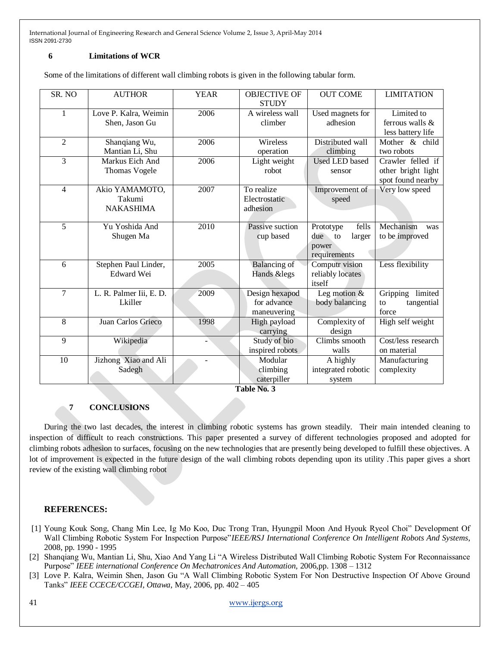## **6 Limitations of WCR**

Some of the limitations of different wall climbing robots is given in the following tabular form.

| SR. NO         | <b>AUTHOR</b>                                | <b>YEAR</b> | <b>OBJECTIVE OF</b><br><b>STUDY</b>          | <b>OUT COME</b>                                                 | <b>LIMITATION</b>                                            |
|----------------|----------------------------------------------|-------------|----------------------------------------------|-----------------------------------------------------------------|--------------------------------------------------------------|
| 1              | Love P. Kalra, Weimin<br>Shen, Jason Gu      | 2006        | A wireless wall<br>climber                   | Used magnets for<br>adhesion                                    | Limited to<br>ferrous walls $\&$<br>less battery life        |
| $\overline{2}$ | Shanqiang Wu,<br>Mantian Li, Shu             | 2006        | Wireless<br>operation                        | Distributed wall<br>climbing                                    | Mother & child<br>two robots                                 |
| 3              | Markus Eich And<br><b>Thomas Vogele</b>      | 2006        | Light weight<br>robot                        | <b>Used LED</b> based<br>sensor                                 | Crawler felled if<br>other bright light<br>spot found nearby |
| $\overline{4}$ | Akio YAMAMOTO,<br>Takumi<br><b>NAKASHIMA</b> | 2007        | To realize<br>Electrostatic<br>adhesion      | Improvement of<br>speed                                         | Very low speed                                               |
| 5              | Yu Yoshida And<br>Shugen Ma                  | 2010        | Passive suction<br>cup based                 | fells<br>Prototype<br>due to<br>larger<br>power<br>requirements | Mechanism<br>was<br>to be improved                           |
| 6              | Stephen Paul Linder,<br><b>Edward Wei</b>    | 2005        | <b>Balancing</b> of<br>Hands &legs           | Computr vision<br>reliably locates<br>itself                    | Less flexibility                                             |
| 7              | L. R. Palmer Iii, E. D.<br>Lkiller           | 2009        | Design hexapod<br>for advance<br>maneuvering | Leg motion $&$<br>body balancing                                | Gripping<br>limited<br>tangential<br>to<br>force             |
| 8              | Juan Carlos Grieco                           | 1998        | High payload<br>carrying                     | Complexity of<br>design                                         | High self weight                                             |
| 9              | Wikipedia                                    |             | Study of bio<br>inspired robots              | Climbs smooth<br>walls                                          | Cost/less research<br>on material                            |
| 10             | Jizhong Xiao and Ali<br>Sadegh               |             | Modular<br>climbing<br>caterpiller           | A highly<br>integrated robotic<br>system                        | Manufacturing<br>complexity                                  |

**Table No. 3**

# **7 CONCLUSIONS**

During the two last decades, the interest in climbing robotic systems has grown steadily. Their main intended cleaning to inspection of difficult to reach constructions. This paper presented a survey of different technologies proposed and adopted for climbing robots adhesion to surfaces, focusing on the new technologies that are presently being developed to fulfill these objectives. A lot of improvement is expected in the future design of the wall climbing robots depending upon its utility .This paper gives a short review of the existing wall climbing robot

## **REFERENCES:**

- [1] Young Kouk Song, Chang Min Lee, Ig Mo Koo, Duc Trong Tran, Hyungpil Moon And Hyouk Ryeol Choi" Development Of Wall Climbing Robotic System For Inspection Purpose"*IEEE/RSJ International Conference On Intelligent Robots And Systems*, 2008, pp. 1990 - 1995
- [2] Shanqiang Wu, Mantian Li, Shu, Xiao And Yang Li "A Wireless Distributed Wall Climbing Robotic System For Reconnaissance Purpose" *IEEE international Conference On Mechatronices And Automation,* 2006,pp. 1308 – 1312
- [3] Love P. Kalra, Weimin Shen, Jason Gu "A Wall Climbing Robotic System For Non Destructive Inspection Of Above Ground Tanks" *IEEE CCECE/CCGEI, Ottawa*, May, 2006, pp. 402 – 405